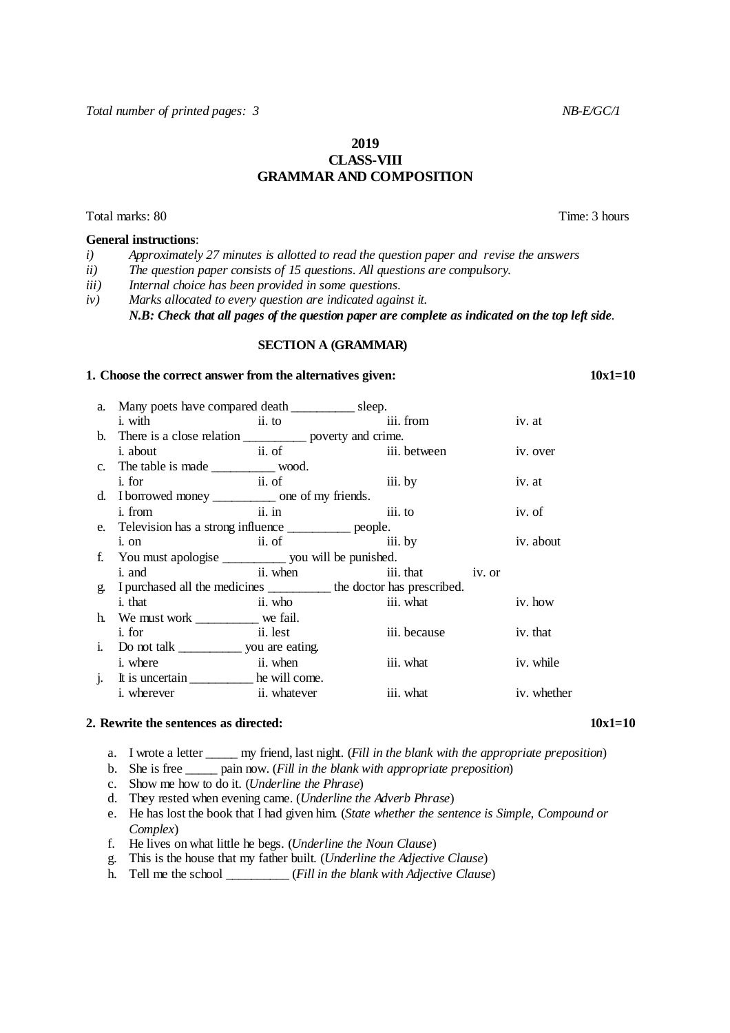# **2019 CLASS-VIII GRAMMAR AND COMPOSITION**

Total marks: 80 Time: 3 hours

### **General instructions**:

- *i) Approximately 27 minutes is allotted to read the question paper and revise the answers*
- *ii) The question paper consists of 15 questions. All questions are compulsory.*
- *iii) Internal choice has been provided in some questions*.
- *iv) Marks allocated to every question are indicated against it.*

*N.B: Check that all pages of the question paper are complete as indicated on the top left side*.

### **SECTION A (GRAMMAR)**

#### **1. Choose the correct answer from the alternatives given:** 10x1=10

| a. Many poets have compared death ____________ sleep.                  |                              |              |  |             |
|------------------------------------------------------------------------|------------------------------|--------------|--|-------------|
| i. with ii. to                                                         |                              | iii. from    |  | iv. at      |
| b. There is a close relation ______________ poverty and crime.         |                              |              |  |             |
| <i>i</i> . about                                                       | ii. of iii. between          |              |  | iv. over    |
|                                                                        |                              |              |  |             |
| <i>i</i> . for                                                         | ii. of iii. by               |              |  | iv. at      |
| d. I borrowed money __________ one of my friends.                      |                              |              |  |             |
| i. from ii. in iii. to                                                 |                              |              |  | iv. of      |
| e. Television has a strong influence _____________ people.             |                              |              |  |             |
| i. on                                                                  | ii. of                       | iii. by      |  | iv. about   |
|                                                                        |                              |              |  |             |
| i. and                                                                 | ii. when<br>iii. that iv. or |              |  |             |
| g. I purchased all the medicines __________ the doctor has prescribed. |                              |              |  |             |
| $\ddot{\textbf{i}}$ ii. who<br><i>i</i> . that                         |                              | iii. what    |  | iv. how     |
| h. We must work we fail.                                               |                              |              |  |             |
| ii. lest<br><i>i</i> . for                                             |                              | iii. because |  | iv. that    |
|                                                                        |                              |              |  |             |
| ii. when<br><i>i</i> . where                                           |                              | iii. what    |  | iv. while   |
| j. It is uncertain _____________ he will come.                         |                              |              |  |             |
| i. wherever ii. whatever                                               |                              | iii. what    |  | iv. whether |

#### **2. Rewrite the sentences as directed:**  $10x1=10$

a. I wrote a letter \_\_\_\_\_ my friend, last night. (*Fill in the blank with the appropriate preposition*)

- b. She is free \_\_\_\_\_ pain now. (*Fill in the blank with appropriate preposition*)
- c. Show me how to do it. (*Underline the Phrase*)
- d. They rested when evening came. (*Underline the Adverb Phrase*)
- e. He has lost the book that I had given him. (*State whether the sentence is Simple, Compound or Complex*)
- f. He lives on what little he begs. (*Underline the Noun Clause*)
- g. This is the house that my father built. (*Underline the Adjective Clause*)
- h. Tell me the school \_\_\_\_\_\_\_\_\_\_ (*Fill in the blank with Adjective Clause*)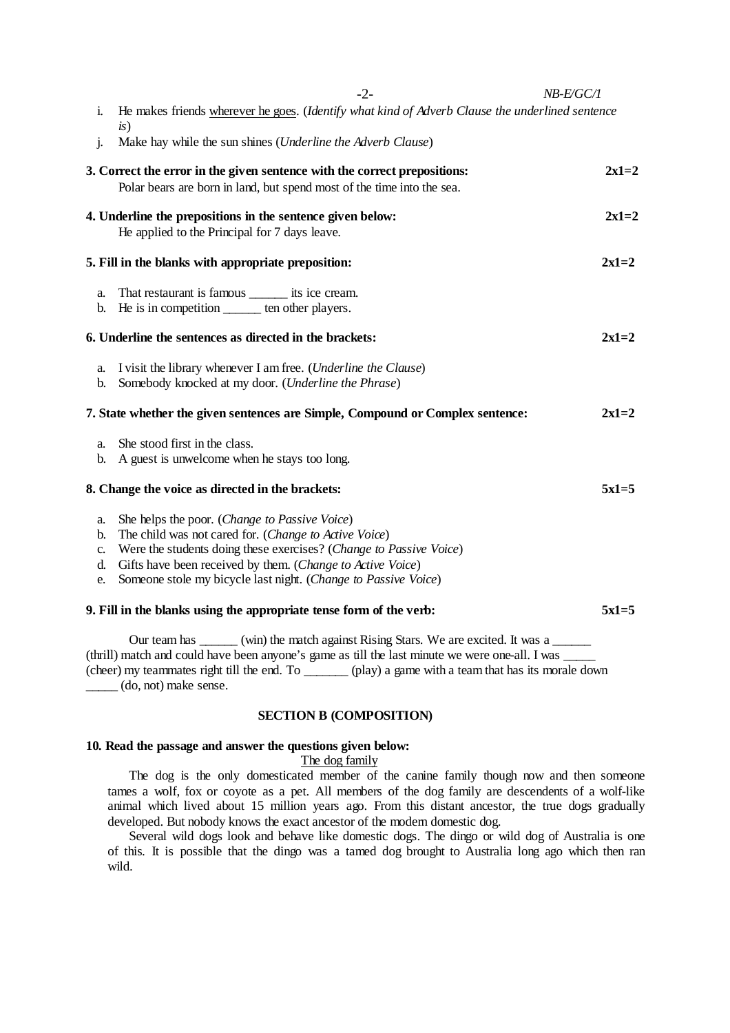|                            | $-2-$                                                                                                                                                                                                                                                                                                        | NB-E/GC/1 |
|----------------------------|--------------------------------------------------------------------------------------------------------------------------------------------------------------------------------------------------------------------------------------------------------------------------------------------------------------|-----------|
| i.                         | He makes friends wherever he goes. (Identify what kind of Adverb Clause the underlined sentence                                                                                                                                                                                                              |           |
| j.                         | is)<br>Make hay while the sun shines (Underline the Adverb Clause)                                                                                                                                                                                                                                           |           |
|                            | 3. Correct the error in the given sentence with the correct prepositions:<br>Polar bears are born in land, but spend most of the time into the sea.                                                                                                                                                          | $2x1=2$   |
|                            | 4. Underline the prepositions in the sentence given below:<br>He applied to the Principal for 7 days leave.                                                                                                                                                                                                  | $2x1=2$   |
|                            | 5. Fill in the blanks with appropriate preposition:                                                                                                                                                                                                                                                          | $2x1=2$   |
| a.<br>b.                   | That restaurant is famous ________ its ice cream.<br>He is in competition ______ ten other players.                                                                                                                                                                                                          |           |
|                            | 6. Underline the sentences as directed in the brackets:                                                                                                                                                                                                                                                      | $2x1=2$   |
| a.<br>b.                   | I visit the library whenever I am free. ( <i>Underline the Clause</i> )<br>Somebody knocked at my door. (Underline the Phrase)                                                                                                                                                                               |           |
|                            | 7. State whether the given sentences are Simple, Compound or Complex sentence:                                                                                                                                                                                                                               | $2x1=2$   |
| a.<br>b.                   | She stood first in the class.<br>A guest is unwelcome when he stays too long.                                                                                                                                                                                                                                |           |
|                            | 8. Change the voice as directed in the brackets:                                                                                                                                                                                                                                                             | $5x1=5$   |
| a.<br>b.<br>c.<br>d.<br>e. | She helps the poor. (Change to Passive Voice)<br>The child was not cared for. (Change to Active Voice)<br>Were the students doing these exercises? (Change to Passive Voice)<br>Gifts have been received by them. (Change to Active Voice)<br>Someone stole my bicycle last night. (Change to Passive Voice) |           |
|                            | 9. Fill in the blanks using the appropriate tense form of the verb:                                                                                                                                                                                                                                          | $5x1=5$   |
|                            | $Q_{\text{Urr}}$ team has $\qquad \qquad (win)$ the match against $\text{Dising Area}$ . We are evolved It une a                                                                                                                                                                                             |           |

Our team has \_\_\_\_\_\_ (win) the match against Rising Stars. We are excited. It was a \_\_\_\_ (thrill) match and could have been anyone's game as till the last minute we were one-all. I was \_\_\_\_\_ (cheer) my teammates right till the end. To \_\_\_\_\_\_\_ (play) a game with a team that has its morale down \_\_\_\_\_ (do, not) make sense.

### **SECTION B (COMPOSITION)**

### **10. Read the passage and answer the questions given below:**

The dog family

The dog is the only domesticated member of the canine family though now and then someone tames a wolf, fox or coyote as a pet. All members of the dog family are descendents of a wolf-like animal which lived about 15 million years ago. From this distant ancestor, the true dogs gradually developed. But nobody knows the exact ancestor of the modern domestic dog.

Several wild dogs look and behave like domestic dogs. The dingo or wild dog of Australia is one of this. It is possible that the dingo was a tamed dog brought to Australia long ago which then ran wild.